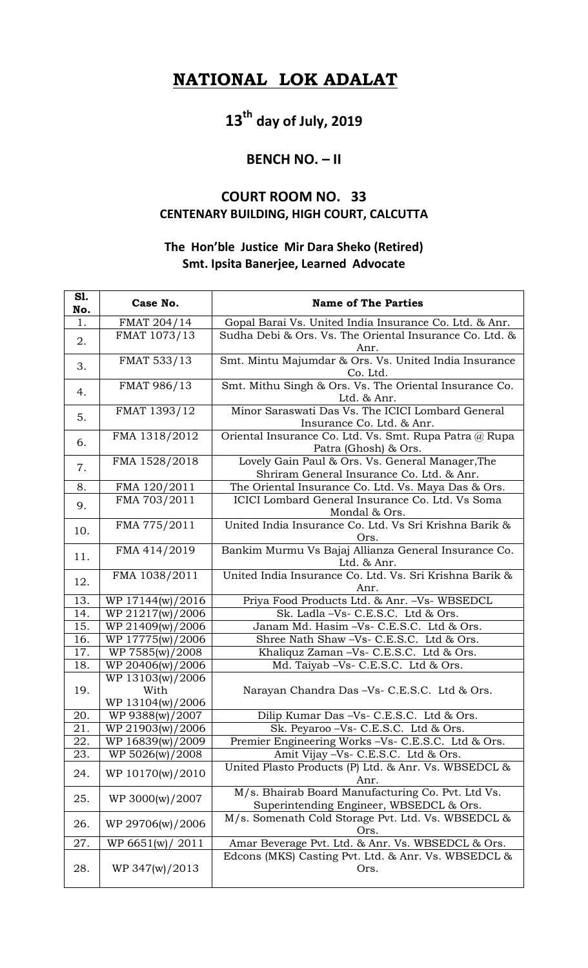## **NATIONAL LOK ADALAT**

# **13th day of July, 2019**

#### **BENCH NO. – II**

### **COURT ROOM NO. 33 CENTENARY BUILDING, HIGH COURT, CALCUTTA**

#### **The Hon'ble Justice Mir Dara Sheko (Retired) Smt. Ipsita Banerjee, Learned Advocate**

| S1.<br>No. | Case No.                                     | <b>Name of The Parties</b>                                                                    |
|------------|----------------------------------------------|-----------------------------------------------------------------------------------------------|
| 1.         | FMAT 204/14                                  | Gopal Barai Vs. United India Insurance Co. Ltd. & Anr.                                        |
| 2.         | FMAT 1073/13                                 | Sudha Debi & Ors. Vs. The Oriental Insurance Co. Ltd. &<br>Anr.                               |
| 3.         | FMAT 533/13                                  | Smt. Mintu Majumdar & Ors. Vs. United India Insurance<br>Co. Ltd.                             |
| 4.         | FMAT 986/13                                  | Smt. Mithu Singh & Ors. Vs. The Oriental Insurance Co.<br>Ltd. & Anr.                         |
| 5.         | FMAT 1393/12                                 | Minor Saraswati Das Vs. The ICICI Lombard General<br>Insurance Co. Ltd. & Anr.                |
| 6.         | FMA 1318/2012                                | Oriental Insurance Co. Ltd. Vs. Smt. Rupa Patra @ Rupa<br>Patra (Ghosh) & Ors.                |
| 7.         | FMA 1528/2018                                | Lovely Gain Paul & Ors. Vs. General Manager, The<br>Shriram General Insurance Co. Ltd. & Anr. |
| 8.         | FMA 120/2011                                 | The Oriental Insurance Co. Ltd. Vs. Maya Das & Ors.                                           |
| 9.         | FMA 703/2011                                 | ICICI Lombard General Insurance Co. Ltd. Vs Soma<br>Mondal & Ors.                             |
| 10.        | FMA 775/2011                                 | United India Insurance Co. Ltd. Vs Sri Krishna Barik &<br>Ors.                                |
| 11.        | FMA 414/2019                                 | Bankim Murmu Vs Bajaj Allianza General Insurance Co.<br>Ltd. & Anr.                           |
| 12.        | FMA 1038/2011                                | United India Insurance Co. Ltd. Vs. Sri Krishna Barik &<br>Anr.                               |
| 13.        | WP 17144(w)/2016                             | Priya Food Products Ltd. & Anr. - Vs- WBSEDCL                                                 |
| 14.        | WP 21217(w)/2006                             | Sk. Ladla -Vs- C.E.S.C. Ltd & Ors.                                                            |
| 15.        | WP 21409(w)/2006                             | Janam Md. Hasim -Vs- C.E.S.C. Ltd & Ors.                                                      |
| 16.        | WP 17775(w)/2006                             | Shree Nath Shaw -Vs- C.E.S.C. Ltd & Ors.                                                      |
| 17.        | WP 7585(w)/2008                              | Khaliquz Zaman -Vs- C.E.S.C. Ltd & Ors.                                                       |
| 18.        | WP 20406(w)/2006                             | Md. Taiyab - Vs - C.E.S.C. Ltd & Ors.                                                         |
| 19.        | WP 13103(w)/2006<br>With<br>WP 13104(w)/2006 | Narayan Chandra Das-Vs- C.E.S.C. Ltd & Ors.                                                   |
| 20.        | WP 9388(w)/2007                              | Dilip Kumar Das -Vs- C.E.S.C. Ltd & Ors.                                                      |
| 21.        | WP 21903(w)/2006                             | Sk. Peyaroo - Vs - C.E.S.C. Ltd & Ors.                                                        |
| 22.        | WP 16839(w)/2009                             | Premier Engineering Works -Vs- C.E.S.C. Ltd & Ors.                                            |
| 23.        | WP 5026(w)/2008                              | Amit Vijay -Vs- C.E.S.C. Ltd & Ors.                                                           |
| 24.        | WP 10170(w)/2010                             | United Plasto Products (P) Ltd. & Anr. Vs. WBSEDCL &<br>Anr.                                  |
| 25.        | WP 3000(w)/2007                              | M/s. Bhairab Board Manufacturing Co. Pvt. Ltd Vs.<br>Superintending Engineer, WBSEDCL & Ors.  |
| 26.        | WP 29706(w)/2006                             | M/s. Somenath Cold Storage Pvt. Ltd. Vs. WBSEDCL &<br>Ors.                                    |
| 27.        | WP 6651(w)<br>2011                           | Amar Beverage Pvt. Ltd. & Anr. Vs. WBSEDCL & Ors.                                             |
| 28.        | WP 347(w)/2013                               | Edcons (MKS) Casting Pvt. Ltd. & Anr. Vs. WBSEDCL &<br>Ors.                                   |